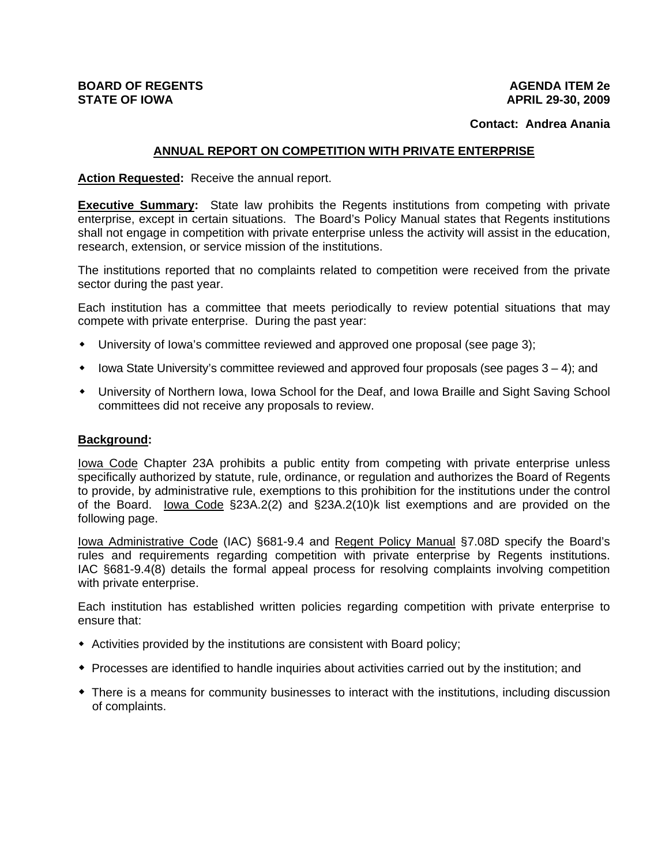# **BOARD OF REGENTS STATE OF IOWA**

#### **AGENDA ITEM 2e APRIL 29-30, 2009**

#### **Contact: Andrea Anania**

#### **ANNUAL REPORT ON COMPETITION WITH PRIVATE ENTERPRISE**

#### **Action Requested:** Receive the annual report.

**Executive Summary:** State law prohibits the Regents institutions from competing with private enterprise, except in certain situations. The Board's Policy Manual states that Regents institutions shall not engage in competition with private enterprise unless the activity will assist in the education, research, extension, or service mission of the institutions.

The institutions reported that no complaints related to competition were received from the private sector during the past year.

Each institution has a committee that meets periodically to review potential situations that may compete with private enterprise. During the past year:

- University of Iowa's committee reviewed and approved one proposal (see page 3);
- $\bullet$  lowa State University's committee reviewed and approved four proposals (see pages  $3 4$ ); and
- University of Northern Iowa, Iowa School for the Deaf, and Iowa Braille and Sight Saving School committees did not receive any proposals to review.

#### **Background:**

Iowa Code Chapter 23A prohibits a public entity from competing with private enterprise unless specifically authorized by statute, rule, ordinance, or regulation and authorizes the Board of Regents to provide, by administrative rule, exemptions to this prohibition for the institutions under the control of the Board. Iowa Code §23A.2(2) and §23A.2(10)k list exemptions and are provided on the following page.

Iowa Administrative Code (IAC) §681-9.4 and Regent Policy Manual §7.08D specify the Board's rules and requirements regarding competition with private enterprise by Regents institutions. IAC §681-9.4(8) details the formal appeal process for resolving complaints involving competition with private enterprise.

Each institution has established written policies regarding competition with private enterprise to ensure that:

- Activities provided by the institutions are consistent with Board policy;
- Processes are identified to handle inquiries about activities carried out by the institution; and
- There is a means for community businesses to interact with the institutions, including discussion of complaints.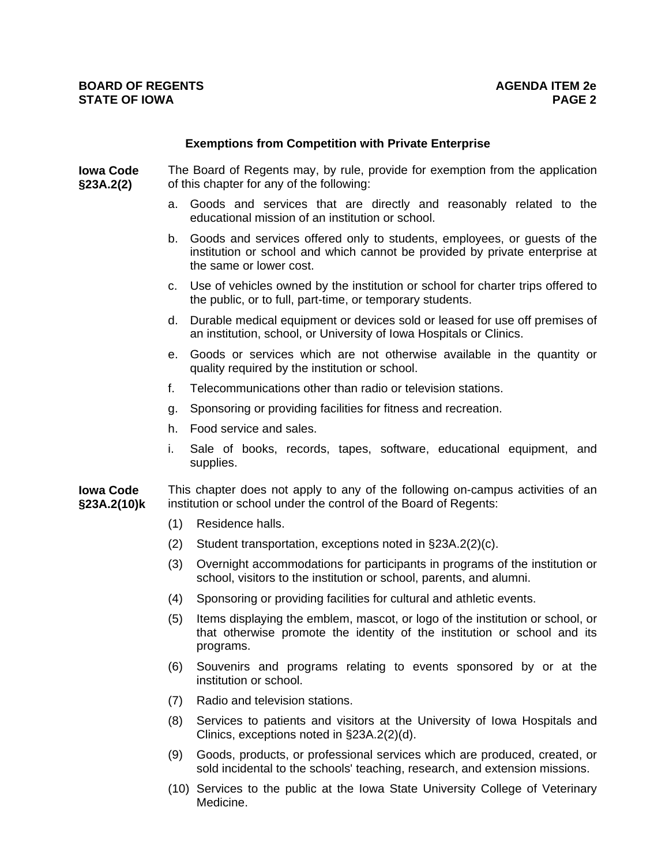#### **Exemptions from Competition with Private Enterprise**

**Iowa Code §23A.2(2)** The Board of Regents may, by rule, provide for exemption from the application of this chapter for any of the following:

- a. Goods and services that are directly and reasonably related to the educational mission of an institution or school.
- b. Goods and services offered only to students, employees, or guests of the institution or school and which cannot be provided by private enterprise at the same or lower cost.
- c. Use of vehicles owned by the institution or school for charter trips offered to the public, or to full, part-time, or temporary students.
- d. Durable medical equipment or devices sold or leased for use off premises of an institution, school, or University of Iowa Hospitals or Clinics.
- e. Goods or services which are not otherwise available in the quantity or quality required by the institution or school.
- f. Telecommunications other than radio or television stations.
- g. Sponsoring or providing facilities for fitness and recreation.
- h. Food service and sales.
- i. Sale of books, records, tapes, software, educational equipment, and supplies.

**Iowa Code §23A.2(10)k**  This chapter does not apply to any of the following on-campus activities of an institution or school under the control of the Board of Regents:

- (1) Residence halls.
- (2) Student transportation, exceptions noted in §23A.2(2)(c).
- (3) Overnight accommodations for participants in programs of the institution or school, visitors to the institution or school, parents, and alumni.
- (4) Sponsoring or providing facilities for cultural and athletic events.
- (5) Items displaying the emblem, mascot, or logo of the institution or school, or that otherwise promote the identity of the institution or school and its programs.
- (6) Souvenirs and programs relating to events sponsored by or at the institution or school.
- (7) Radio and television stations.
- (8) Services to patients and visitors at the University of Iowa Hospitals and Clinics, exceptions noted in §23A.2(2)(d).
- (9) Goods, products, or professional services which are produced, created, or sold incidental to the schools' teaching, research, and extension missions.
- (10) Services to the public at the Iowa State University College of Veterinary Medicine.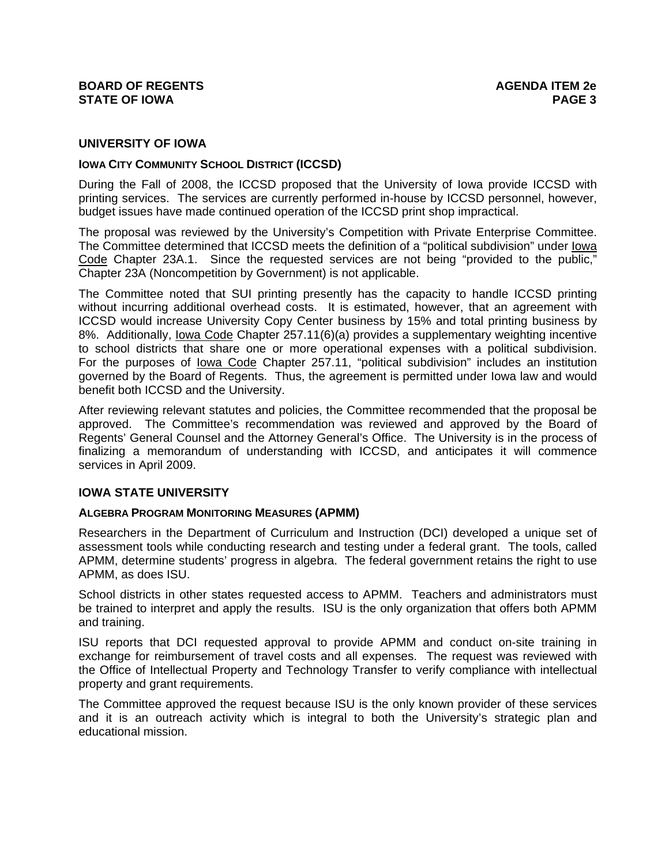## **UNIVERSITY OF IOWA**

## **IOWA CITY COMMUNITY SCHOOL DISTRICT (ICCSD)**

During the Fall of 2008, the ICCSD proposed that the University of Iowa provide ICCSD with printing services. The services are currently performed in-house by ICCSD personnel, however, budget issues have made continued operation of the ICCSD print shop impractical.

The proposal was reviewed by the University's Competition with Private Enterprise Committee. The Committee determined that ICCSD meets the definition of a "political subdivision" under Iowa Code Chapter 23A.1. Since the requested services are not being "provided to the public," Chapter 23A (Noncompetition by Government) is not applicable.

The Committee noted that SUI printing presently has the capacity to handle ICCSD printing without incurring additional overhead costs. It is estimated, however, that an agreement with ICCSD would increase University Copy Center business by 15% and total printing business by 8%. Additionally, lowa Code Chapter 257.11(6)(a) provides a supplementary weighting incentive to school districts that share one or more operational expenses with a political subdivision. For the purposes of Iowa Code Chapter 257.11, "political subdivision" includes an institution governed by the Board of Regents. Thus, the agreement is permitted under Iowa law and would benefit both ICCSD and the University.

After reviewing relevant statutes and policies, the Committee recommended that the proposal be approved. The Committee's recommendation was reviewed and approved by the Board of Regents' General Counsel and the Attorney General's Office. The University is in the process of finalizing a memorandum of understanding with ICCSD, and anticipates it will commence services in April 2009.

## **IOWA STATE UNIVERSITY**

## **ALGEBRA PROGRAM MONITORING MEASURES (APMM)**

Researchers in the Department of Curriculum and Instruction (DCI) developed a unique set of assessment tools while conducting research and testing under a federal grant. The tools, called APMM, determine students' progress in algebra. The federal government retains the right to use APMM, as does ISU.

School districts in other states requested access to APMM. Teachers and administrators must be trained to interpret and apply the results. ISU is the only organization that offers both APMM and training.

ISU reports that DCI requested approval to provide APMM and conduct on-site training in exchange for reimbursement of travel costs and all expenses. The request was reviewed with the Office of Intellectual Property and Technology Transfer to verify compliance with intellectual property and grant requirements.

The Committee approved the request because ISU is the only known provider of these services and it is an outreach activity which is integral to both the University's strategic plan and educational mission.